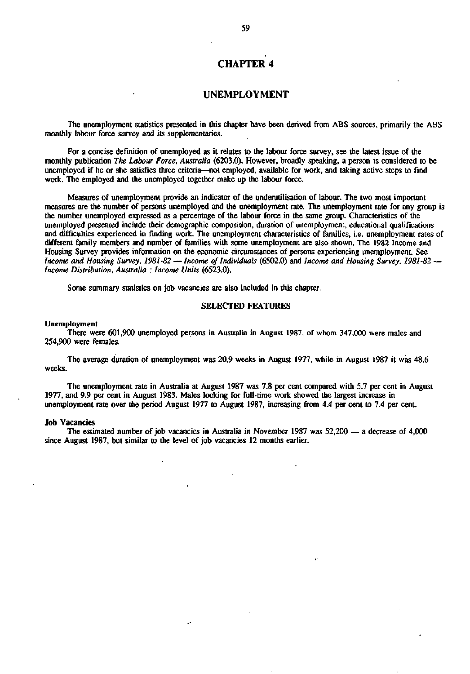# **CHAPTER 4**

# **UNEMPLOYMENT**

The unemployment statistics presented in this chapter have been derived from ABS sources, primarily the ABS monthly labour force survey and its supplementaries.

For a concise definition of unemployed as it relates to the labour force survey, see the latest issue of the monthly publication The Labour Force, Australia (6203.0). However, broadly speaking, a person is considered to be unemployed if he or she satisfies three criteria—not employed, available for work, and taking active steps to find work. The employed and the unemployed together make up the labour force.

Measures of unemployment provide an indicator of the underutilisation of labour. The two most important measures are the number of persons unemployed and the unemployment rate. The unemployment rate for any group is the number unemployed expressed as a percentage of the labour force in the same group. Characteristics of the unemployed presented include their demographic composition, duration of unemployment, educational qualifications and difficulties experienced in finding work. The unemployment characteristics of families, i.e. unemployment rates of different family members and number of families with some unemployment are also shown. The 1982 Income and Housing Survey provides information on the economic circumstances of persons experiencing unemployment. See *Income and Housing Survey, 1981-82* — *Income of Individuals* (6502.0) and *Income and Housing Survey, 1981-82* — *Income Distribution, Australia : Income Units* (6523.0).

Some summary statistics on job vacancies are also included in this chapter.

# SELECTED FEATURES

### Unemployment

There were 601,900 unemployed persons in Australia in August 1987, of whom 347,000 were males and 254,900 were females.

The average duration of unemployment was 20.9 weeks in August 1977, while in August 1987 it was 48.6 weeks.

The unemployment rate in Australia at August 1987 was 7.8 per cent compared with 5.7 per cent in August 1977, and 9.9 per cent in August 1983. Males looking for full-time work showed the largest increase in unemployment rate over the period August 1977 to August 1987, increasing from 4.4 per cent to 7.4 per cent.

## Job Vacancies

The estimated number of job vacancies in Australia in November 1987 was 52,200 — a decrease of 4,000 since August 1987, but similar to the level of job vacancies 12 months earlier.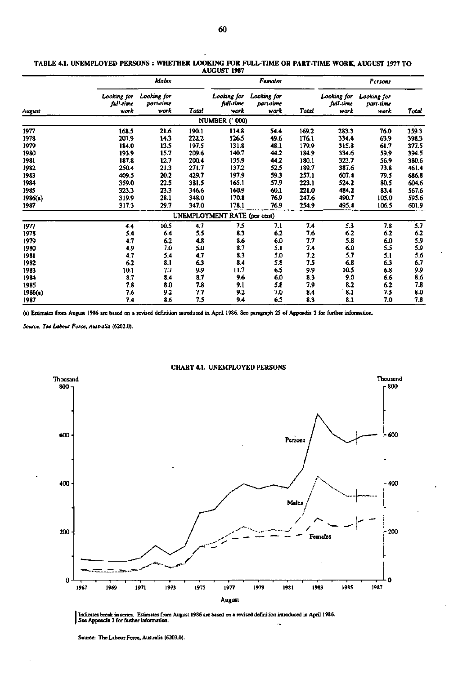|         |                                  | Males                            |       |                                  | Females                          |       |                                  | Persons                          |       |
|---------|----------------------------------|----------------------------------|-------|----------------------------------|----------------------------------|-------|----------------------------------|----------------------------------|-------|
| August  | Looking for<br>full-time<br>work | Looking for<br>part-time<br>work | Total | Looking for<br>full-time<br>work | Looking for<br>part-time<br>work | Total | Looking for<br>full-time<br>work | Looking for<br>part-time<br>work | Total |
|         |                                  |                                  |       | <b>NUMBER (' 000)</b>            |                                  |       |                                  |                                  |       |
| 1977    | 168.5                            | 21.6                             | 190.1 | 114.8                            | 54.4                             | 169.2 | 283.3                            | 76.0                             | 359.3 |
| 1978    | 207.9                            | 14.3                             | 222.2 | 126.5                            | 49.6                             | 176.1 | 334.4                            | 63.9                             | 398.3 |
| 1979    | 184.0                            | 13.5                             | 197.5 | 131.8                            | 48.1                             | 179.9 | 315.8                            | 61.7                             | 377.5 |
| 1980    | 193.9                            | 15.7                             | 209.6 | 140.7                            | 44.2                             | 184.9 | 334.6                            | 59.9                             | 394.5 |
| 1981    | 187.8                            | 12.7                             | 200.4 | 135.9                            | 44.2                             | 180.1 | 323.7                            | 56.9                             | 380.6 |
| 1982    | 250.4                            | 21.3                             | 271.7 | 137.2                            | 52.5                             | 189.7 | 387.6                            | 73.8                             | 461.4 |
| 1983    | 409.5                            | 20.2                             | 429.7 | 197.9                            | 59.3                             | 257.1 | 607.4                            | 79.5                             | 686.8 |
| 1984    | 359.0                            | 22.5                             | 381.5 | 165.1                            | 57.9                             | 223.1 | 524.2                            | 80.5                             | 604.6 |
| 1985    | 323.3                            | 23.3                             | 346.6 | 160.9                            | 60.1                             | 221.0 | 484.2                            | 83.4                             | 567.6 |
| 1986(a) | 319.9                            | 28.1                             | 348.0 | 170.8                            | 76.9                             | 247.6 | 490.7                            | 105.0                            | 595.6 |
| 1987    | 317.3                            | 29.7                             | 347.0 | 178.1                            | 76.9                             | 254.9 | 495.4                            | 106.5                            | 601.9 |
|         |                                  |                                  |       | UNEMPLOYMENT RATE (per cent)     |                                  |       |                                  |                                  |       |
| 1977    | 4.4                              | 10.5                             | 4.7   | 7.5                              | 7.1                              | 7.4   | 5.3                              | 7.8                              | 5.7   |
| 1978    | 5.4                              | 6.4                              | 5.5   | 8.3                              | 6.2                              | 7.6   | 6.2                              | 6.2                              | 6.2   |
| 1979    | 4.7                              | 6.2                              | 4.8   | 8.6                              | 6.0                              | 77    | 5.8                              | 6.0                              | 5.9   |
| 1980    | 4.9                              | 7.0                              | 5.0   | 3.7                              | 5.1                              | 7.4   | 6.0                              | 5.5                              | 5.9   |
| 1981    | 4.7                              | 5.4                              | 4.7   | 8.3                              | 5.0                              | 7.2   | 5.7                              | 5.1                              | 5.6   |
| 1982    | 6.2                              | 8.1                              | 6.3   | 8.4                              | 5.8                              | 7.5   | 6.8                              | 6.3                              | 6.7   |
| 1983    | 10.1                             | 7.7                              | 9.9   | 11.7                             | 6.5                              | 9.9   | 10.5                             | 6.8                              | 9.9   |
| 1984    | 8.7                              | 8.4                              | 8.7   | 9.6                              | 6.0                              | 8.3   | 9.0                              | 6.6                              | 8.6   |
| 1985    | 7.8                              | 8.0                              | 7.8   | 9.1                              | 5.8                              | 7.9   | 8.2                              | 6.2                              | 7.8   |
| 1986(a) | 7.6                              | 9.2                              | 7.7   | 9.2                              | 7.0                              | 8.4   | 8.1                              | 7.5                              | 8.0   |
| 1987    | 7.4                              | 8.6                              | 7.5   | 9.4                              | 6.5                              | 8.3   | 8.1                              | 7.0                              | 7.8   |

#### **TABLE 4.1. UNEMPLOYED PERSONS : WHETHER LOOKING FOR FULL-TIME OR PART-TIME WORK, AUGUST 1977 TO AUGUST 1987**

**(a) Estimates from August 1986 are based on a revised definition introduced in April 1986. See paragraph 25 of Appendix 3 for further information.** 

*Source: The Labour Force, Australia* **(6203.0).** 



### **CHART 4.1. UNEMPLOYED PERSONS**

**Indicates break in series. Estimates from August 1986 are based on a revised definition introduced in April 1986. See Appendix 3 for further information.**   $\mathcal{A}_\bullet$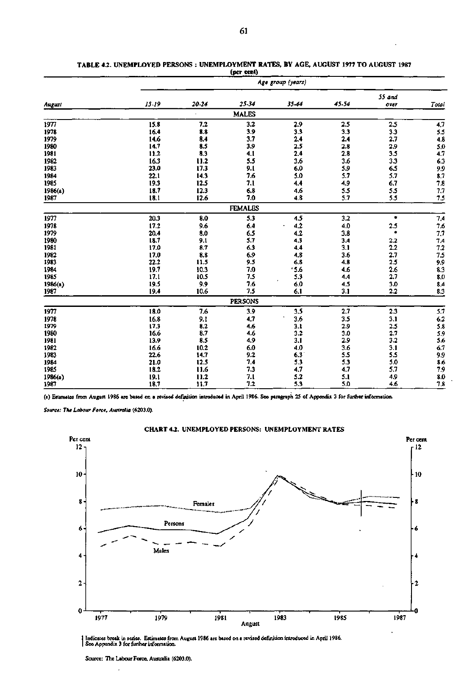|         |           | Age group (years) |                |       |       |        |                                           |  |  |  |  |  |
|---------|-----------|-------------------|----------------|-------|-------|--------|-------------------------------------------|--|--|--|--|--|
|         |           |                   |                |       |       | 55 and |                                           |  |  |  |  |  |
| August  | $15 - 19$ | 20-24             | 25-34          | 35-44 | 45.54 | over   | Total                                     |  |  |  |  |  |
|         |           |                   | <b>MALES</b>   |       |       |        |                                           |  |  |  |  |  |
| 1977    | 15.8      | 7.2               | 3.2            | 2.9   | 2.5   | 2.5    | 4.7                                       |  |  |  |  |  |
| 1978    | 16.4      | 8.8               | 3.9            | 3.3   | 3.3   | 3.3    | 5.5                                       |  |  |  |  |  |
| 1979    | 14.6      | 8.4               | 3.7            | 2.4   | 2.4   | 2.7    | 4.8                                       |  |  |  |  |  |
| 1980    | 14.7      | 8.5               | 3.9            | 2.5   | 2.8   | 2.9    | 5,0                                       |  |  |  |  |  |
| 1981    | 11.2      | 8.3               | 4.1            | 2.4   | 2.8   | 3.5    | 4.7                                       |  |  |  |  |  |
| 1982    | 16.3      | 11.2              | 5.5            | 3.6   | 3.6   | 3.3    | 6.3                                       |  |  |  |  |  |
| 1983    | 23.0      | 17.3              | 9.1            | 6.0   | 5.9   | 6.5    | 9,9                                       |  |  |  |  |  |
| 1984    | 22.1      | 14.3              | 7.6            | 5.0   | 5.7   | 5.7    | 8.7                                       |  |  |  |  |  |
| 1985    | 19.3      | 12.5              | 7.1            | 4.4   | 4.9   | 6.7    | 7.8                                       |  |  |  |  |  |
| 1986(a) | 18.7      | 12.3              | 6.8            | 4.6   | 5.5   | 5.5    | 7.7                                       |  |  |  |  |  |
| 1987    | 18.1      | 12.6              | 7.0            | 4.8   | 5.7   | 5.5    | 7.5                                       |  |  |  |  |  |
|         |           |                   | <b>FEMALES</b> |       |       |        |                                           |  |  |  |  |  |
| 1977    | 20.3      | 8.0               | 5.3            | 4.5   | 3.2   | ٠      | 7,4                                       |  |  |  |  |  |
| 1978    | 17.2      | 9.6               | 6.4            | 4.2   | 4,0   | 2.5    | $7.6$<br>$7.7$                            |  |  |  |  |  |
| 1979    | 20.4      | 8.0               | 6.5            | 4.2   | 3.8   | ۰      |                                           |  |  |  |  |  |
| 1980    | 18.7      | 9.1               | 5.7            | 4.3   | 3.4   | 2.2    |                                           |  |  |  |  |  |
| 1981    | 17.0      | 8.7               | 6.3            | 4.4   | 3.1   | 2.2    |                                           |  |  |  |  |  |
| 1982    | 17.0      | 8.8               | 6.9            | 4.8   | 3.6   | 2.7    |                                           |  |  |  |  |  |
| 1983    | 22.2      | 11.5              | 9.5            | 6.8   | 4.8   | 2.5    |                                           |  |  |  |  |  |
| 1984    | 19.7      | 10.3              | 7.0            | 5.6   | 4.6   | 2.6    | $7.4$<br>$7.2$<br>$7.5$<br>$9.9$<br>$8.3$ |  |  |  |  |  |
| 1985    | 17.1      | 10.5              | 7.5            | 5.3   | 4.4   | 2.7    | 8.0                                       |  |  |  |  |  |
| 1986(a) | 19.5      | 9.9               | 7.6            | 6.0   | 4.5   | 3.0    | 8.4                                       |  |  |  |  |  |
| 1987    | 19.4      | 10.6              | 7.5            | 6.1   | 3.1   | 2.2    | 8.3                                       |  |  |  |  |  |
|         |           |                   | <b>PERSONS</b> |       |       |        |                                           |  |  |  |  |  |
| 1977    | 18.0      | 7.6               | 3.9            | 3.5   | 2.7   | 2.3    | 5.7                                       |  |  |  |  |  |
| 1978    | 16.8      | 9.1               | 4.7            | 3.6   | 3.5   | 3.1    | 6.2                                       |  |  |  |  |  |
| 1979    | 17.3      | 8.2               | 4.6            | 3.1   | 2.9   | 2.5    | 5.8                                       |  |  |  |  |  |
| 1980    | 16.6      | 8.7               | 4.6            | 3.2   | 3.0   | 2.7    | 5.9                                       |  |  |  |  |  |
| 1981    | 13.9      | 8.5               | 4,9            | 3.1   | 2.9   | 3.2    | $5.6\,$                                   |  |  |  |  |  |
| 1982    | 16.6      | 10.2              | 6.0            | 4.0   | 3.6   | 3.1    | 6.7                                       |  |  |  |  |  |
| 1983    | 22.6      | 14.7              | 9.2            | 6.3   | 5.5   | 5.5    | 9.9                                       |  |  |  |  |  |
| 1984    | 21.0      | 12.5              | 7.4            | 5.3   | 5.3   | 5.0    | 8.6                                       |  |  |  |  |  |
| 1985    | 18.2      | 11.6              | 7.3            | 4.7   | 4.7   | 5.7    | 7.9                                       |  |  |  |  |  |
| 1986(a) | 19.1      | 11.2              | 7.1            | 5.2   | 5.1   | 4.9    | 8.0                                       |  |  |  |  |  |
| 1987    | 18.7      | 11.7              | 7.2            | 5.3   | 5.0   | 4.6    | 7.8                                       |  |  |  |  |  |

#### **TABLE 4.2. UNEMPLOYED PERSONS : UNEMPLOYMENT RATES, BY** AGE, AUGUST 1977 TO AUGUST 1987 **(per cent)**

(a) Estimates from August 1986 are based on a revised definition introduced in April 1986. See paragraph 25 of Appendix 3 for further information.

*Source: The Labour Force, Australia* **(6203.0).** 



CHART *42.* UNEMPLOYED PERSONS: UNEMPLOYMENT RATES

J Indicates break in series. Estimates from August 1986 are based on a revised definition introduced in April 1986. I See Appendix 3 for further information.

Source: The Labour Force, Australia (6203.0).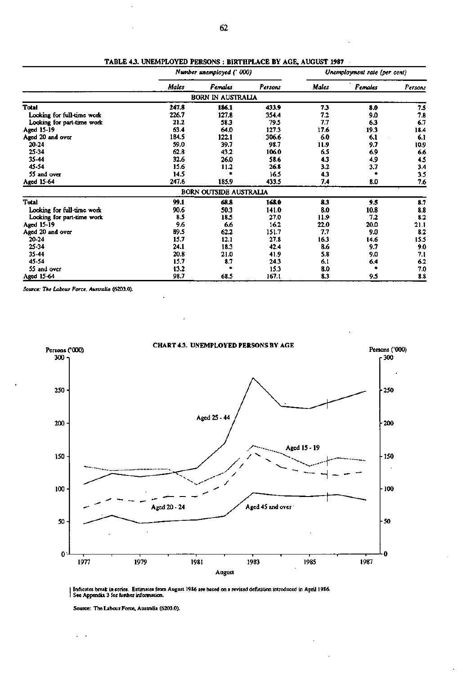|                            |       | Number unemployed (' 000)     |         | Unemployment rate (per cent) |         |         |  |
|----------------------------|-------|-------------------------------|---------|------------------------------|---------|---------|--|
|                            | Males | Females                       | Persons | Males                        | Females | Persons |  |
|                            |       | <b>BORN IN AUSTRALIA</b>      |         |                              |         |         |  |
| <b>Total</b>               | 247.8 | 186.1                         | 433.9   | 73                           | 8.0     | 7.5     |  |
| Looking for full-time work | 226.7 | 127.8                         | 354.4   | 7.2                          | 9.0     | 7.8     |  |
| Looking for part-time work | 21.2  | 58.3                          | 79.5    | 7,7                          | 6.3     | 6.7     |  |
| Aged 15-19                 | 63.4  | 64.0                          | 127.3   | 17.6                         | 19.3    | 18.4    |  |
| Aged 20 and over           | 184.5 | 122.1                         | 306.6   | 6.0                          | 6.1     | 6.1     |  |
| 20-24                      | 59.0  | 39.7                          | 98.7    | 11.9                         | 9.7     | 10.9    |  |
| 25-34                      | 62.8  | 43.2                          | 106.0   | 6.5                          | 6.9     | 6.6     |  |
| 35-44                      | 32.6  | 26.0                          | 58.6    | 4.3                          | 4.9     | 4.5     |  |
| 45-54                      | 15.6  | 11.2                          | 26.8    | 3.2                          | 3.7     | 3.4     |  |
| 55 and over                | 14.5  |                               | 16.5    | 4.3                          |         | 3.5     |  |
| Aged 15-64                 | 247.6 | 185.9                         | 433.5   | 7.4                          | 8.0     | 7.6     |  |
|                            |       | <b>BORN OUTSIDE AUSTRALIA</b> |         |                              |         |         |  |
| <b>Total</b>               | 99.1  | 68.8                          | 168.0   | 83                           | 9.5     | 8.7     |  |
| Looking for full-time work | 90.6  | 50.3                          | 141.0   | 8.0                          | 10.8    | 8.8     |  |
| Looking for part-time work | 8.5   | 18.5                          | 27.0    | 11.9                         | 7.2     | 8.2     |  |
| Aged 15-19                 | 9.6   | 6.6                           | 16.2    | 22.0                         | 20.0    | 21.1    |  |
| Aged 20 and over           | 89.5  | 62.2                          | 151.7   | 7.7                          | 9.0     | 8.2     |  |
| 20-24                      | 15.7  | 12.1                          | 27.8    | 16.3                         | 14.6    | 15.5    |  |
| 25-34                      | 24.1  | 18.3                          | 42.4    | 8.6                          | 9.7     | 9.0     |  |
| 35-44                      | 20.8  | 21.0                          | 41.9    | 5.8                          | 9.0     | 7.1     |  |
| 45-54                      | 15.7  | 8.7                           | 24.3    | 6.1                          | 6.4     | 6.2     |  |
| 55 and over                | 13.2  | ٠                             | 15.3    | 8.0                          |         | 7.0     |  |
| Aged 15-64                 | 98.7  | 68.5                          | 167.1   | 8.3                          | 9.5     | 8.8     |  |

TABLE 43. UNEMPLOYED PERSONS : BIRTHPLACE BY AGE, AUGUST 1987

*Source: The Labour Force, Australia* (6203.0).



Indicates break in series. Estimates from August 1986 are based on a revised definition introduced in April 1986. I See Appendix 3 for further information.

Source: The Labour Force. Australia (6203.0).

 $\ddot{\phantom{a}}$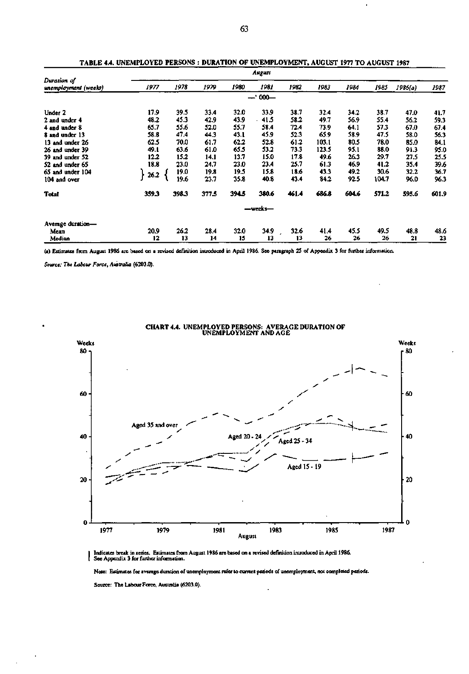|                                     |       |       |       |       | August  |       |       |       |       |         |       |
|-------------------------------------|-------|-------|-------|-------|---------|-------|-------|-------|-------|---------|-------|
| Duration of<br>unemployment (weeks) | 1977  | 1978  | 1979  | 1980  | 1981    | 1982  | 1983  | 1984  | 1985  | 1986(a) | 1987  |
|                                     |       |       |       |       | $-000-$ |       |       |       |       |         |       |
| Under 2                             | 17.9  | 39.5  | 33.4  | 32.0  | 33.9    | 38.7  | 32.4  | 34.2  | 38.7  | 47.0    | 41.7  |
| 2 and under 4                       | 48.2  | 45.3  | 42.9  | 43.9  | 41.5    | 58.2  | 49.7  | 56.9  | 55.4  | 56.2    | 59.3  |
| 4 and under 8                       | 65.7  | 55.6  | 52.0  | 55.7  | 58.4    | 72.4  | 73.9  | 64.1  | 57.3  | 67.0    | 67.4  |
| 8 and under 13                      | 58.8  | 47.4  | 44.3  | 43.1  | 45.9    | 52.3  | 65.9  | 58.9  | 47.5  | 58.0    | 56.3  |
| 13 and under 26                     | 62.5  | 70.0  | 61.7  | 62.2  | 52.8    | 61.2  | 103.1 | 80.5  | 78.0  | 85.0    | 84.1  |
| 26 and under 39                     | 49.1  | 63.6  | 61.0  | 65.5  | 53.2    | 73.3  | 123.5 | 95.1  | 88.0  | 91.3    | 95.0  |
| 39 and under 52                     | 12.2  | 15.2  | 14.1  | 13.7  | 15.0    | 17.8  | 49.6  | 26.3  | 29.7  | 27.5    | 25.5  |
| 52 and under 65                     | 18.8  | 23.0  | 24.7  | 23.0  | 23.4    | 25.7  | 61.3  | 46.9  | 41.2  | 35.4    | 39.6  |
| 65 and under 104                    |       | 19.0  | 19.8  | 19.5  | 15.8    | 18.6  | 43.3  | 49.2  | 30.6  | 32.2    | 36.7  |
| 104 and over                        | 26.2  | 19.6  | 23.7  | 35.8  | 40.8    | 43.4  | 84.2  | 92.5  | 104.7 | 96.0    | 96.3  |
| <b>Total</b>                        | 359.3 | 398.3 | 377.5 | 394.5 | 380.6   | 461.4 | 686.8 | 604.6 | 571.2 | 595.6   | 601.9 |
|                                     |       |       |       |       | -weeks- |       |       |       |       |         |       |
| Average duration-                   |       |       |       |       |         |       |       |       |       |         |       |
| Mean                                | 20.9  | 26.2  | 28.4  | 32.0  | 34.9    | 32.6  | 41.4  | 45.5  | 49.5  | 48.8    | 48.6  |
| Median                              | 12    | 13    | 14    | 15    | 13      | 13    | 26    | 26    | 26    | 21      | 23    |

TABLE 4.4. UNEMPLOYED PERSONS : DURATION OF UNEMPLOYMENT, AUGUST 1977 TO AUGUST 1987

(a) Estimates from August 19S6 are based on a revised definition introduced in April 1986. See paragraph 25 of Appendix 3 for further information.

*Source: The Labour Force. Australia* **(6203.0).** 



CHART 4.4. UNEMPLOYED PERSONS: AVERAGE DURATION OF UNEMPLOYMENT AND AGE

Indicates break in series. Estimates from August 1986 are based on a revised definition introduced in April 1986. See Appendix 3 for further information. ł

Note: Estimates for average duration of unemployment refer to current periods of unemployment, not completed periods.

Source: The Labour Force, Australia (6203.0).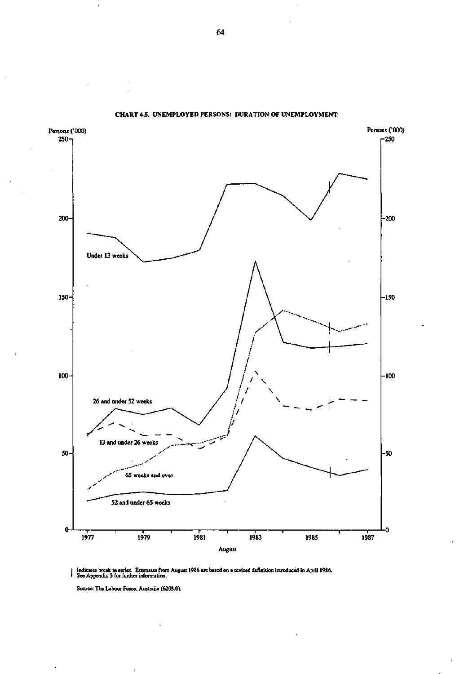

**CHART 4.5. UNEMPLOYED PERSONS: DURATION OF UNEMPLOYMENT** 

Indicates break in series. Estimates from August 1986 are based on a revised definition introduced in April 1986 See Appendix 3 for further information.

Source: The Labour Force, Australia (6203.0).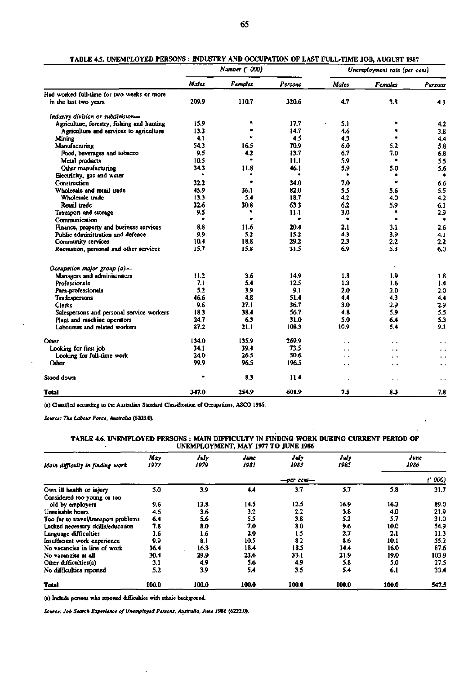|                                            |       | Number (' 000) |         |                      | Unemployment rate (per cent) |                      |
|--------------------------------------------|-------|----------------|---------|----------------------|------------------------------|----------------------|
|                                            | Males | <b>Females</b> | Persons | Males                | <b>Females</b>               | Persons              |
| Had worked full-time for two weeks or more |       |                |         |                      |                              |                      |
| in the last two years                      | 209.9 | 110.7          | 320.6   | 4.7                  | 3.8                          | 4.3                  |
| Industry division or subdivision-          |       |                |         |                      |                              |                      |
| Agriculture, forestry, fishing and hunting | 15.9  |                | 17.7    | 5.1                  |                              | 4.2                  |
| Agriculture and services to agriculture    | 13.3  |                | 14.7    | 4.6                  | à                            | 3.8                  |
| Mining                                     | 4.1   |                | 4.5     | 4.3                  | ٠                            | 4,4                  |
| Manufacturing                              | 54.3  | 16.5           | 70.9    | 6.0                  | 5.2                          | 5.8                  |
| Food, beverages and tobacco                | 9.5   | 4.2            | 13.7    | 6.7                  | 7.0                          | 6.8                  |
| Metal products                             | 10.5  |                | 11.1    | 5.9                  | ۰                            | 5.5                  |
| Other manufacturing                        | 34.3  | 11.8           | 46.1    | 5.9                  | 5.0                          | 5.6                  |
| Electricity, gas and water                 |       |                | ۰       | ۰                    |                              | ٠                    |
| Construction                               | 32.2  | ٠              | 34.0    | 7.0                  | ٠                            | 6.6                  |
| Wholesale and retail trade                 | 45.9  | 36.1           | 82.0    | 5.5                  | 5.6                          | 5.5                  |
| Wholesale trade                            | 13.3  | 5.4            | 18.7    | 4.2                  | 4.0                          | 4.2                  |
| Retail trade                               | 32.6  | 30.8           | 63.3    | 6.2                  | 5.9                          | 6.1                  |
| Transport and storage                      | 9.5   |                | 11.1    | 3.0                  | ۰                            | 2.9                  |
| Communication                              | ٠     |                | ٠       | ۰                    | ٠                            |                      |
| Finance, property and business services    | 8.8   | 11.6           | 20.4    | 2.1                  | 3.1                          | 2.6                  |
| Public administration and defence          | 9.9   | 5.2            | 15.2    | 4.3                  | 3.9                          | 4.1                  |
| Community services                         | 10.4  | 18.8           | 29.2    | 2.3                  | 2.2                          | 2.2                  |
| Recreation, personal and other services    | 15.7  | 15.8           | 31.5    | 6.9                  | 5.3                          | 6.0                  |
| Occupation major group (a)-                |       |                |         |                      |                              |                      |
| Managers and administrators                | 11.2  | 3.6            | 14.9    | 1.8                  | 1.9                          | 1.8                  |
| Professionals                              | 7.1   | 5.4            | 12.5    | 13                   | 1.6                          | 1.4                  |
| Para-professionals                         | 5.2   | 3.9            | 9.1     | 2.0                  | 2.0                          | 2.0                  |
| Tradespersons                              | 46.6  | 4.8            | 51.4    | 4.4                  | 4.3                          | 4.4                  |
| <b>Clerks</b>                              | 9.6   | 27.1           | 36.7    | 3.0                  | 2.9                          | 2.9                  |
| Salespersons and personal service workers  | 18.3  | 38.4           | 56.7    | 4.8                  | 5.9                          | 5.5                  |
| Plant and machine operators                | 24.7  | 6.3            | 31.0    | 5.0                  | 6.4                          | 5.3                  |
| Labourers and related workers              | 87.2  | 21.1           | 108.3   | 10.9                 | 5.4                          | 9.1                  |
| Other                                      | 134.0 | 135.9          | 269.9   | $\ddot{\phantom{1}}$ | $\ddot{\phantom{1}}$         | $\ddot{\phantom{a}}$ |
| Looking for first job                      | 34.1  | 39.4           | 73.5    | $\ddot{\phantom{1}}$ | . .                          | $\ddot{\phantom{0}}$ |
| Looking for full-time work                 | 24.0  | 26.5           | 50.6    | . .                  | . .                          | $\ddot{\phantom{0}}$ |
| Other                                      | 99.9  | 96.5           | 196.5   | $\ddot{\phantom{1}}$ | $\ddot{\phantom{1}}$         | ٠.                   |
| Stood down                                 | ė     | 8.3            | 11.4    | $\ddot{\phantom{0}}$ | $\ddot{\phantom{1}}$         | $\ddot{\phantom{1}}$ |
| <b>Total</b>                               | 347.0 | 254.9          | 601.9   | 7.5                  | 8.3                          | 7.8                  |

| TABLE 4.5. UNEMPLOYED PERSONS: INDUSTRY AND OCCUPATION OF LAST FULL-TIME JOB, AUGUST 1987 |  |
|-------------------------------------------------------------------------------------------|--|
|                                                                                           |  |

**(a)** Classified according to the Australian Standard Classification of Occupations, ASCO 1986.

*Source: The Labour Force, Australia* **(6203.0).** 

#### **TABLE 4.6. UNEMPLOYED PERSONS : MAIN DD7FICULTY IN FINDING WORK DURING CURRENT PERIOD OF UNEMPLOYMENT, MAY 1977 TO JUNE 1986**

| Main difficulty in finding work      | May<br>1977 | July<br>1979 | June<br>1981 | July<br>1983 | July<br>1985 | 1986  | June  |
|--------------------------------------|-------------|--------------|--------------|--------------|--------------|-------|-------|
|                                      |             |              |              |              | 000)         |       |       |
| Own ill health or injury             | 5.0         | 3.9          | 4.4          | 3.7          | 5.7          | 5.8   | 31.7  |
| Considered too young or too          |             |              |              |              |              |       |       |
| old by employers                     | 9.6         | 13.8         | 14.5         | 12.5         | 16.9         | 16.3  | 89.0  |
| Unsuitable hours                     | 4.6         | 3.6          | 3.2          | $2.2\,$      | 3.8          | 4.0   | 21.9  |
| Too far to travel/transport problems | 6.4         | 5.6          | 5.5          | 3.8          | 5.2          | 5.7   | 31.0  |
| Lacked necessary skills/education    | 7.8         | 8.0          | 7.0          | 8.0          | 9.6          | 10.0  | 54.9  |
| Language difficulties                | 1.6         | 1.6          | 2.0          | 1.5          | 2.7          | 2.1   | 11.3  |
| Insufficient work experience         | 9.9         | 8.1          | 10.5         | 8.2          | 8.6          | 10.1  | 55.2  |
| No vacancies in line of work         | 16.4        | 16.8         | 18.4         | 18.5         | 14.4         | 16.0  | 87.6  |
| No vacancies at all                  | 30.4        | 29.9         | 23.6         | 33.1         | 21.9         | 19.0  | 103.9 |
| Other difficulties(a)                | 3.1         | 4.9          | 5.6          | 4,9          | 5.8          | 5.0   | 27.5  |
| No difficulties reported             | 5.2         | 3.9          | 5.4          | 3.5          | 5.4          | 6.1   | 33.4  |
| <b>Total</b>                         | 100.0       | 100.0        | 100.0        | 100.0        | 100.0        | 100.0 | 547.5 |

(a) Include persons who reported difficulties with ethnic background.

*Source: Job Search Experience of Unemployed Persons, Australia, June 1986* **(6222.0).**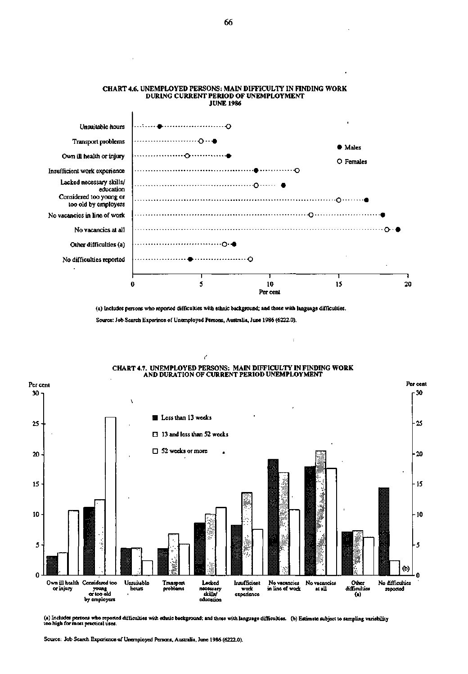

# **CHART 4.6. UNEMPLOYED PERSONS: MAIN DIFFICULTY IN FINDING WORK DURING CURRENT PERIOD OF UNEMPLOYMENT**

**(a) Includes persons who reported difficulties with ethnic background; and those with language difTiculties.** 

l.

**Source: Job Search Experince of Unemployed Persons, Australia, June 1986 (6222.0).** 



**(a) Includes persons who reported difficulties with ethnic background; and those with language difficulties, (b) Estimate subject to sampling variability too high for most practical uses.** 

**Source: Job Search Experience of Unemployed Persons, Australia, June 1986 (6222.0).**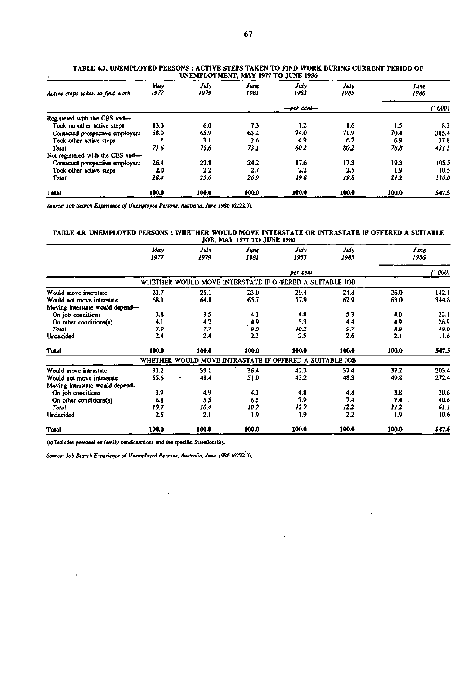| Active steps taken to find work  | May<br>1977 | July<br>1979 | June<br>1981 | July<br>1983     | July<br>1985 | June<br>1986 |       |  |
|----------------------------------|-------------|--------------|--------------|------------------|--------------|--------------|-------|--|
|                                  |             |              |              | $-$ per cent $-$ |              | (' 000)      |       |  |
| Registered with the CES and-     |             |              |              |                  |              |              |       |  |
| Took no other active steps       | 13.3        | 6.0          | 73           | 1.2              | 1.6          | 1.5          | 8.3   |  |
| Contacted prospective employers  | 58.0        | 65.9         | 63.2         | 74.0             | 71.9         | 70.4         | 385.4 |  |
| Took other active steps          |             | 3.1          | 2.6          | 4.9              | 6.7          | 6.9          | 37.8  |  |
| Total                            | 71.6        | 75.0         | 73.I         | 80 2             | 80.2         | 78.8         | 431.5 |  |
| Not registered with the CES and- |             |              |              |                  |              |              |       |  |
| Contacted prospective employers  | 26.4        | 22.8         | 24.2         | 17.6             | 17.3         | 19.3         | 105.5 |  |
| Took other active steps          | 2.0         | 2.2          | 2.7          | 2.2              | 2.5          | 1.9          | 10.5  |  |
| Total                            | 28.4        | 25.0         | 26.9         | 19.8             | 19.8         | 212          | 116.0 |  |
| <b>Total</b>                     | 100.0       | 100.0        | 100.0        | 100.0            | 100.0        | 100.0        | 547.5 |  |

**TABLE 4.7. UNEMPLOYED PERSONS : ACTIVE STEPS TAKEN TO FIND WORK DURING CURRENT PERIOD OF UNEMPLOYMENT, MAY 1977 TO JUNE 1986** 

*Source: Job Search Experience of Unemployed Persons, Australia, June 1986* **(6222.0).** 

### TABLE 4.8. UNEMPLOYED PERSONS : WHETHER WOULD MOVE INTERSTATE OR INTRASTATE IF OFFERED A SUITABLE **JOB, MAY 1977 TO JUNE 1986**

|                                 | May<br>1977 | July<br>1979                                            | June<br>1981 | July<br>1983 | July<br>1985 |       | June<br>1986 |
|---------------------------------|-------------|---------------------------------------------------------|--------------|--------------|--------------|-------|--------------|
|                                 |             |                                                         |              | —per cent—   |              |       | 000)         |
|                                 |             | WHETHER WOULD MOVE INTERSTATE IF OFFERED A SUITABLE JOB |              |              |              |       |              |
| Would move interstate           | 21.7        | 25.1                                                    | 23.0         | 29.4         | 24.8         | 26.0  | 142.1        |
| Would not move interstate       | 68.1        | 64.8                                                    | 65.7         | 57.9         | 62.9         | 63.0  | 344.8        |
| Moving interstate would depend- |             |                                                         |              |              |              |       |              |
| On job conditions               | 3.8         | 3.5                                                     | 4.1          | 4.8          | 5.3          | 4.0   | 22.1         |
| On other conditions(a)          | 4.1         | 4.2                                                     | 4.9          | 5.3          | 4.4          | 4.9   | 26.9         |
| Total                           | 7.9         | 7.7                                                     | 9.0          | 102          | 9.7          | 8.9   | 49.0         |
| Undecided                       | 2.4         | 2.4                                                     | 2.3          | 2.5          | 2.6          | 2.1   | 11.6         |
| Total                           | 100.0       | 100.0                                                   | 100.0        | 100.0        | 100.0        | 100.0 | 547.5        |
|                                 |             | WHETHER WOULD MOVE INTRASTATE IF OFFERED A SUITABLE JOB |              |              |              |       |              |
| Would move intrastate           | 31.2        | 39.1                                                    | 36.4         | 42.3         | 37.4         | 37.2  | 203.4        |
| Would not move intrastate       | 55.6        | 48.4                                                    | 51.0         | 43.2         | 48.3         | 49.8  | 272.4        |
| Moving intrastate would depend- |             |                                                         |              |              |              |       |              |
| On job conditions               | 3.9         | 4.9                                                     | 4.1          | 4.8          | 4.8          | 3.8   | 20.6         |
| On other conditions(a)          | 6.8         | 5.5                                                     | 6.5          | 7.9          | 7.4          | 7.4   | 40.6         |
| Total                           | 10.7        | 10.4                                                    | 10.7         | 12.7         | 122          | 112   | 61.1         |
| Undecided                       | 2.5         | 2.1                                                     | 1.9          | 1.9          | 2.2          | 1.9   | 10.6         |
| Total                           | 100.0       | 100.0                                                   | 100.0        | 100.0        | 100.0        | 100.0 | 547.5        |

 $\mathbf{r}$ 

(a) Includes personal or family considerations and the specific State/locality.

J.

 $\bar{\rm t}$ 

*Source: Job Search Experience of Unemployed Persons, Australia, June 1986* **(6222.0).** 

 $\overline{\phantom{a}}$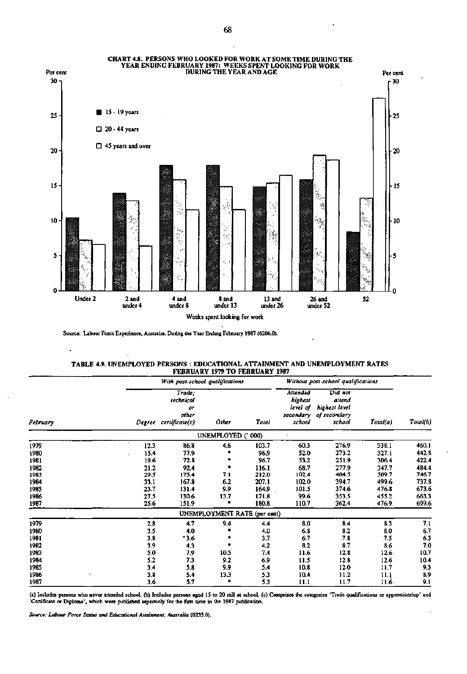

**Source: Labour Force Experience, Australia, During the Year Ending February 1987 (6206.0).** 

 $\bar{z}$ 

| <b>TABLE 4.9. UNEMPLOYED PERSONS: EDUCATIONAL ATTAINMENT AND UNEMPLOYMENT RATES</b> |  |
|-------------------------------------------------------------------------------------|--|
| <b>FEBRUARY 1979 TO FEBRUARY 1987</b>                                               |  |

|          |      | With post-school qualifications                             |                              | Without post-school qualifications |                                           |                                                                        |          |          |
|----------|------|-------------------------------------------------------------|------------------------------|------------------------------------|-------------------------------------------|------------------------------------------------------------------------|----------|----------|
| February |      | Trade:<br>technical<br>٥r<br>other<br>Degree certificate(c) | Other                        | Total                              | Attended<br>highest<br>level of<br>school | Did not<br>attend<br>highest level<br>secondary of secondary<br>school | Total(a) | Total(b) |
|          |      |                                                             | UNEMPLOYED (' 000)           |                                    |                                           |                                                                        |          |          |
| 1979     | 12.3 | 86.8                                                        | 4.6                          | 103.7                              | 60.3                                      | 276.9                                                                  | 338.1    | 460.1    |
| 1980     | 15.4 | 77.9                                                        |                              | 96.9                               | 52.0                                      | 273.2                                                                  | 327.1    | 442.8    |
| 1981     | 19.6 | 72.8                                                        |                              | 96.7                               | 53.2                                      | 251.9                                                                  | 306.4    | 422.4    |
| 1982     | 21.2 | 92.4                                                        |                              | 116.1                              | 68.7                                      | 277.9                                                                  | 347.7    | 484.4    |
| 1983     | 29.5 | 175.4                                                       | 7.1                          | 212.0                              | 102.4                                     | 404.5                                                                  | 509.7    | 746.7    |
| 1984     | 33.1 | 167.8                                                       | 6.2                          | 207.1                              | 102.0                                     | 394.7                                                                  | 499.6    | 737.8    |
| 1985     | 23.7 | 131.4                                                       | 9.9                          | 164.9                              | 101.5                                     | 374.6                                                                  | 476.8    | 673.6    |
| 1986     | 27.5 | 130.6                                                       | 13.7                         | 171.8                              | 99.6                                      | 353.5                                                                  | 455.2    | 663.3    |
| 1987     | 25.6 | 151.9                                                       | *                            | 180.8                              | 110.7                                     | 362.4                                                                  | 476.9    | 699.6    |
|          |      |                                                             | UNEMPLOYMENT RATE (per cent) |                                    |                                           |                                                                        |          |          |
| 1979     | 2.8  | 4.7                                                         | 9.4                          | 4.4                                | 8.0                                       | 8.4                                                                    | 8.3      | 7.1      |
| 1980     | 3.5  | 4.0                                                         |                              | 4.0                                | 6.8                                       | 8.2                                                                    | 8.0      | 6.7      |
| 1981     | 3.8  | 43.6                                                        |                              | 3.7                                | 6.7                                       | .7.8                                                                   | 7.5      | 6.3      |
| 1982     | 3.9  | 4.3                                                         |                              | 4.2                                | 8.2                                       | 8.7                                                                    | 8.6      | 7.0      |
| 1983     | 5.0  | 7.9                                                         | 10.5                         | 7.4                                | 11.6                                      | 12.8                                                                   | 12.6     | 10.7     |
| 1984     | 5.2  | 7.3                                                         | 9.2                          | 6.9                                | 11.5                                      | 12.8                                                                   | 12.6     | 10.4     |
| 1985     | 3.4  | 5.8                                                         | 9.9                          | 5.4                                | 10.8                                      | 12.0                                                                   | 11.7     | 9.3      |
| 1986     | 3.8  | 5.4                                                         | 13.3                         | 5.3                                | 10.4                                      | 11.2                                                                   | 11.1     | 8.9      |
| 1987     | 3.6  | 5.7                                                         |                              | 5.3                                | 11.1                                      | 11.7                                                                   | 11.6     | 9.1      |

**(a) Includes persons who never attended school, (b) Includes persons aged 15 to 20 still at school, (c) Comprises the categories 'Trade qualifications or apprenticeship' and 'Certificate or Diploma', which were published separately for the first time in the 1987 publication.** 

l,

*Source: Labour Force Status and Educational Attainment, Australia* **(6235.0).** 

 $\ddot{\phantom{a}}$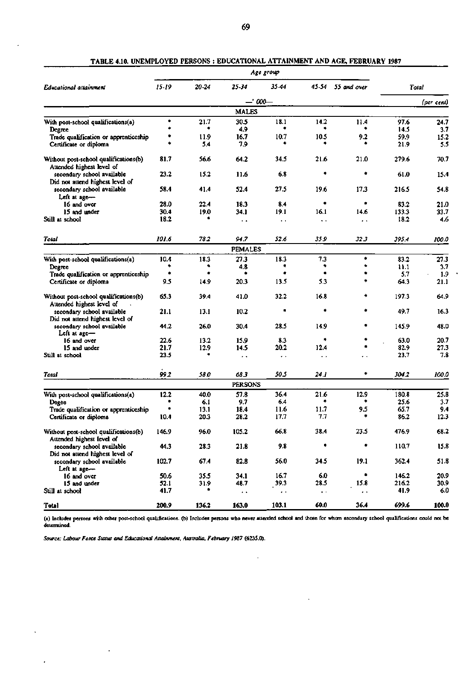|                                                                    |       |       |                      | Age group            |                        |                   |       |            |
|--------------------------------------------------------------------|-------|-------|----------------------|----------------------|------------------------|-------------------|-------|------------|
| Educational attainment                                             | 15-19 | 20-24 | 25-34                | 35.44                |                        | 45-54 55 and over | Total |            |
|                                                                    |       |       |                      | -- 000-              |                        |                   |       | (per cent) |
|                                                                    |       |       | <b>MALES</b>         |                      |                        |                   |       |            |
| With post-school qualifications(a)                                 | ٠     | 21.7  | 30.5                 | 18.1                 | 14.2                   | 11.4              | 97.6  | 24.7       |
| Degree                                                             |       |       | 4.9                  |                      |                        | ۰                 | 14.5  | 3.7        |
| Trade qualification or apprenticeship                              |       | 11.9  | 16.7                 | 10.7                 | 10.5                   | 9.2               | 59.9  | 15.2       |
| Certificate or diploma                                             |       | 54    | 7.9                  |                      |                        |                   | 21.9  | 5.5        |
| Without post-school qualifications(b)                              | 81.7  | 56.6  | 64.2                 | 34.5                 | 21.6                   | 21.0              | 279.6 | 70.7       |
| Attended highest level of                                          |       |       |                      |                      |                        |                   |       |            |
| secondary school available                                         | 23.2  | 15.2  | 11.6                 | 6.8                  | ۰                      | ۰                 | 61.0  | 15.4       |
| Did not attend highest level of                                    |       |       |                      |                      |                        |                   |       |            |
| secondary school available                                         | 58.4  | 41.4  | 52.4                 | 27.5                 | 19.6                   | 17.3              | 216.5 | 54.8       |
| Left at age-                                                       |       |       |                      |                      |                        |                   |       |            |
| 16 and over                                                        | 28.0  | 22.4  | 18.3                 | 8.4                  |                        | ۰                 | 83.2  | 21.0       |
| 15 and under                                                       | 30.4  | 19.0  | 34 1                 | 19.1                 | 16.1                   | 14.6              | 133.3 | 33.7       |
| Still at school                                                    | 18.2  |       | $\ddot{\phantom{1}}$ | $\ddot{\phantom{1}}$ | $\ddot{\phantom{1}}$   | $\mathbf{r}$      | 18.2  | 4.6        |
|                                                                    |       |       |                      |                      |                        |                   |       |            |
| Total                                                              | 101.6 | 78.2  | 94.7                 | 52.6                 | 35.9                   | 32 3              | 395.4 | 100.0      |
|                                                                    |       |       | <b>FEMALES</b>       |                      |                        |                   |       |            |
| With post-school qualifications(a)                                 | 10.4  | 18.3  | 27.3                 | 18.3                 | 7.3                    | ۰                 | 83.2  | 27.3       |
| Degree                                                             |       |       | 4.8                  |                      |                        | ۰                 | 11.1  | 3,7        |
| Trade qualification or apprenticeship                              |       | ٠     | ۰                    |                      |                        |                   | 5.7   | 1.9        |
| Certificate or diploma                                             | 9.5   | 14.9  | 20.3                 | 13.5                 | 5.3                    | 主                 | 64.3  | 21.1       |
| Without post-school qualifications(b)<br>Attended highest level of | 65.3  | 39.4  | 41.0                 | 32.2                 | 16.8                   | *                 | 197.3 | 64.9       |
| secondary school available<br>Did not attend highest level of      | 21.1  | 13.1  | 10.2                 | ۰                    | ۰                      | ۰                 | 49.7  | 16.3       |
| secondary school available<br>Left at $age$ —                      | 44.2  | 26.0  | 30.4                 | 28.5                 | 14.9                   | ٠                 | 145.9 | 48.0       |
| 16 and over                                                        | 22.6  | 13.2  | 15.9                 | 8.3                  |                        | ۰                 | 63.0  | 20.7       |
| 15 and under                                                       | 21.7  | 12.9  | 14.5                 | 20.2                 | 12.4                   | ۰                 | 82.9  | 27.3       |
| Still at school                                                    | 23.5  |       | $\ddot{\phantom{1}}$ | . .                  | $\ddot{\phantom{1}}$   | . .               | 23.7  | 7.8        |
|                                                                    |       |       |                      |                      |                        |                   |       |            |
| Total                                                              | 99 2  | 58.0  | 68 3                 | 50.5                 | 24.I                   | ۰                 | 304.2 | 100.0      |
|                                                                    |       |       | <b>PERSONS</b>       |                      |                        |                   |       |            |
| With post-school qualifications(a)                                 | 12.2  | 40.0  | 57.8                 | 36.4                 | 21.6                   | 12.9              | 180.8 | 25.8       |
| Degee                                                              |       | 6.1   | 9.7                  | 6.4                  | ۰                      | ۰                 | 25.6  | 3.7        |
| Trade qualification or apprenticeship                              |       | 13.1  | 18.4                 | 11.6                 | 11.7                   | 9.5               | 65.7  | 9.4        |
| Certificate or diploma                                             | 10.4  | 20.3  | 28.2                 | 17,7                 | 7.7                    | *                 | 86.2  | 12.3       |
| Without post-school qualifications(b)<br>Attended highest level of | 146.9 | 96.0  | 105.2                | 66.8                 | 38.4                   | 23.5              | 476.9 | 68.2       |
| secondary school available<br>Did not attend highest level of      | 44.3  | 28.3  | 21.8                 | 9.8                  | ۰                      | ۰                 | 110.7 | 15.8       |
| secondary school available<br>Left at age-                         | 102.7 | 67.4  | 82.8                 | 56.0                 | 34.5                   | 19.1              | 362.4 | 51.8       |
| 16 and over                                                        | 50.6  | 35.5  | 34.1                 | 16.7                 | 6.0                    | ۰                 | 146.2 | 20.9       |
| 15 and under                                                       | 52.1  | 31.9  | 48.7                 | 39.3                 | 28.5                   | 15.8              | 216.2 | 30.9       |
| Still at school                                                    | 41.7  |       | . .                  | $\ddot{\phantom{0}}$ | $\ddot{\phantom{a}}$ . | . .               | 41.9  | 6.0        |
| Total                                                              | 200.9 | 136.2 | 163.0                | 103.1                | 60.0                   | 36.4              | 699.6 | 100.0      |
|                                                                    |       |       |                      |                      |                        |                   |       |            |

**TABLE** 4.10. **UNEMPLOYED PERSONS : EDUCATIONAL ATTAINMENT AND AGE, FEBRUARY 1987** 

(a) Includes persons with other post-school qualifications, (b) Includes persons who never attended school and those for whom secondary school qualiiicaiions could not be determined.

 $\overline{\phantom{a}}$ 

*Source: Labour Force Status and Educational Attainment, Australia, February 1987* **(6235.0).**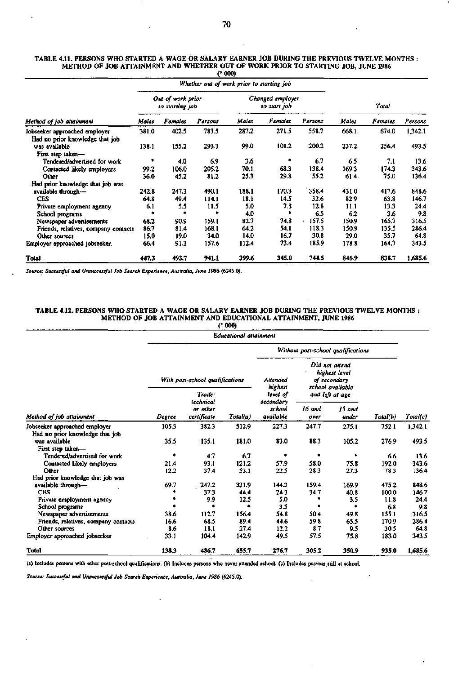| TABLE 4.11. PERSONS WHO STARTED A WAGE OR SALARY EARNER JOB DURING THE PREVIOUS TWELVE MONTHS : |  |
|-------------------------------------------------------------------------------------------------|--|
| METHOD OF JOB ATTAINMENT AND WHETHER OUT OF WORK PRIOR TO STARTING JOB. JUNE 1986               |  |
| (2000)                                                                                          |  |

 $\ddot{\phantom{a}}$ 

|                                                                  |                                      |         | Whether out of work prior to starting job |       |                                  |         |        |         |         |
|------------------------------------------------------------------|--------------------------------------|---------|-------------------------------------------|-------|----------------------------------|---------|--------|---------|---------|
|                                                                  | Out of work prior<br>to starting job |         |                                           |       | Changed employer<br>to start job |         | Total  |         |         |
| Method of job attainment                                         | Males                                | Females | Persons                                   | Males | Females                          | Persons | Males  | Females | Persons |
| Jobseeker approached employer<br>Had no prior knowledge that job | 381.0                                | 402.5   | 783.5                                     | 287.2 | 271.5                            | 558.7   | 668.1. | 674.0   | 1,342.1 |
| was available                                                    | 138.1                                | 155.2   | 293.3                                     | 99.0  | 101.2                            | 200.2   | 237.2  | 256.4   | 493.5   |
| First step taken-                                                |                                      |         |                                           |       |                                  |         |        |         |         |
| Tendered/advertised for work                                     | ۰                                    | 4.0     | 6.9                                       | 3.6   | ٠                                | 6.7     | 6.5    | 7.1     | 13.6    |
| Contacted likely employers                                       | 99.2                                 | 106.0   | 205.2                                     | 70.1  | 68.3                             | 138.4   | 169.3  | 174.3   | 343.6   |
| Other                                                            | 36.0                                 | 45.2    | 81.2                                      | 25.3  | 29.8                             | 55.2    | 61.4.  | 75.0    | 136.4   |
| Had prior knowledge that job was                                 |                                      |         |                                           |       |                                  |         |        |         |         |
| available through-                                               | 242.8                                | 247.3   | 490.1                                     | 188.1 | 170.3                            | 358.4   | 431.0  | 417.6   | 848.6   |
| <b>CES</b>                                                       | 64.8                                 | 49.4    | 114.1                                     | 18.1  | 14.5                             | 32.6    | 82.9   | 63.8    | 146.7   |
| Private employment agency                                        | 6.1                                  | 5.5     | 11.5                                      | 5.0   | 7.8                              | 12.8    | 11.1   | 13.3    | 24.4    |
| School programs                                                  |                                      |         |                                           | 4.0   |                                  | 6.5     | 6.2    | 3.6     | 9.8     |
| Newspaper advertisements                                         | 68.2                                 | 90.9    | 159.1                                     | 82.7  | 74.8                             | 157.5   | 150.9  | 165.7   | 316.5   |
| Friends, relatives, company contacts                             | 86.7                                 | 81.4    | 168.1                                     | 64.2  | 54.1                             | 118.3   | 150.9  | 135.5   | 286.4   |
| Other sources                                                    | 15.0                                 | 19.0    | 34.0                                      | 14.0  | 16.7                             | 30.8    | 29.0   | 35.7    | 64.8    |
| Employer approached jobseeker.                                   | 66.4                                 | 91.3    | 157.6                                     | 112.4 | 73.4                             | 185.9   | 178.8  | 164.7   | 343.5   |
| Total                                                            | 447.3                                | 493.7   | 941.1                                     | 399.6 | 345.0                            | 744.5   | 846.9  | 838.7   | 1,685.6 |

*Source: Successful and Unsuccessful Job Search Experience, Australia, June 1986* **(6245.0).** 

 $\bar{1}$ 

.

## **TABLE 4.12. PERSONS WHO STARTED A WAGE OR SALARY EARNER JOB DURING THE PREVIOUS TWELVE MONTHS METHOD OF JOB ATTAINMENT AND EDUCATIONAL ATTAINMENT, JUNE 1986**

|                                      |        |                                      | (* 000)                |                                    |                                                                     |                 |          |          |
|--------------------------------------|--------|--------------------------------------|------------------------|------------------------------------|---------------------------------------------------------------------|-----------------|----------|----------|
|                                      |        |                                      | Educational attainment |                                    |                                                                     |                 |          |          |
|                                      |        |                                      |                        | Without post-school qualifications |                                                                     |                 |          |          |
|                                      |        | With post-school qualifications      |                        | Auended<br>highest                 | Did not attend<br>highest level<br>of secondary<br>school available |                 |          |          |
|                                      |        | Trade:                               |                        | level of                           |                                                                     | and left at age |          |          |
| Method of job attainment             | Degree | technical<br>or other<br>certificate | Total(a)               | secondary<br>school<br>available   | 16 and<br>over                                                      | 15 and<br>under | Total(b) | Total(c) |
| Jobseeker approached employer        | 105.3  | 382.3                                | 512.9                  | 227.3                              | 247.7                                                               | 275.1           | 752.1    | 1,342.1  |
| Had no prior knowledge that job      |        |                                      |                        |                                    |                                                                     |                 |          |          |
| was available                        | 35.5   | 135.1                                | 181.0                  | 83.0                               | 88.3                                                                | 105.2           | 276.9    | 493.5    |
| First step taken-                    |        |                                      |                        |                                    |                                                                     |                 |          |          |
| Tendered/advertised for work         | ۰      | 4.7                                  | 6.7                    | ۰                                  | ٠                                                                   | ۰               | 6.6      | 13.6     |
| Contacted likely employers           | 21.4   | 93.1                                 | 121.2                  | 57.9                               | 58.0                                                                | 75.8            | 192.0    | 343.6    |
| Other                                | 12.2   | 37.4                                 | 53.1                   | 22.5                               | 28.3                                                                | 27.3            | 78.3     | 136.4    |
| Had prior knowledge that job was     |        |                                      |                        |                                    |                                                                     |                 |          |          |
| available through-                   | 69.7   | 247.2                                | 331.9                  | 144.3                              | 159.4                                                               | 169.9           | 475.2    | 848.6    |
| <b>CES</b>                           |        | 37.3                                 | 44.4                   | 24.3                               | 34.7                                                                | 40.8            | 100.0    | 146.7    |
| Private employment agency            |        | 9.9                                  | 12.5                   | 5.0                                |                                                                     | 3.5             | 11.8     | 24.4     |
| School programs                      |        |                                      | ٠                      | 3.5                                |                                                                     | $\bullet$       | 6.8      | 9.8      |
| Newspaper advertisements             | 38.6   | 112.7                                | 156.4                  | 54.8                               | 50.4                                                                | 49.8            | 155.1    | 316.5    |
| Friends, relatives, company contacts | 16.6   | 68.5                                 | 89.4                   | 44.6                               | 59.8                                                                | 65.5            | 170.9    | 286.4    |
| Other sources                        | 8.6    | 18.1                                 | 27.4                   | 12.2                               | 87                                                                  | 9.5             | 30.5     | 64.8     |
| Employer approached jobseeker        | 33.1   | 104.4                                | 142.9                  | 49.5                               | 57.5                                                                | 75.8            | 183.0    | 343.5    |
| <b>Total</b>                         | 138.3  | 486.7                                | 655.7                  | 276.7                              | 305.2                                                               | 350.9           | 935.0    | 1,685.6  |

 $\ddot{\phantom{a}}$ 

 $\epsilon$ 

**(a) Includes persons with other post-school qualifications, (b) Includes persons who never attended school, (c) Includes persons still at school.** 

*Source: Successful and Unsuccessful Job Search Experience, Australia, June 1986* **(6245.0).** 

 $\ddot{\phantom{a}}$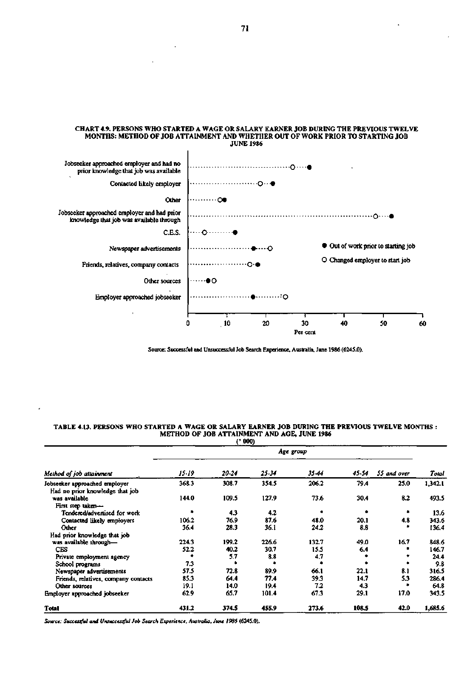#### **CHART 4.9. PERSONS WHO STARTED A WAGE OR SALARY EARNER JOB DURING THE PREVIOUS TWELVE MONTHS: METHOD OF JOB ATTAINMENT AND WHETHER OUT OF WORK PRIOR TO STARTING JOB JUNE 1986**



**Source: Successful and Unsuccessful Job Search Experience, Australia, June 1986 (6245.0).** 

#### **TABLE 4.13. PERSONS WHO STARTED A WAGE OR SALARY EARNER JOB DURING THE PREVIOUS TWELVE MONTHS METHOD OF JOB ATTAINMENT AND AGE, JUNE 1986 ('000)**

|                                                   |               | t and        |              |              |             |             |                |  |  |  |  |
|---------------------------------------------------|---------------|--------------|--------------|--------------|-------------|-------------|----------------|--|--|--|--|
|                                                   | Age group     |              |              |              |             |             |                |  |  |  |  |
| Method of job attainment                          | 15.19         | 20-24        | 25.34        | 35-44        | 45-54       | 55 and over | Total          |  |  |  |  |
| Jobseeker approached employer                     | 368.3         | 308.7        | 354.5        | 206.2        | 79.4        | 25.0        | 1,342.1        |  |  |  |  |
| Had no prior knowledge that job<br>was available  | 144.0         | 109.5        | 127.9        | 73.6         | 30.4        | 8.2         | 493.5          |  |  |  |  |
| First step taken-<br>Tendered/advertised for work |               | 4.3          | 4.2          |              |             |             | 13.6           |  |  |  |  |
| Contacted likely employers<br>Other               | 106.2<br>36.4 | 76.9<br>28.3 | 87.6<br>36.1 | 48.0<br>24.2 | 20.1<br>8.8 | 4.8         | 343.6<br>136.4 |  |  |  |  |
| Had prior knowledge that job                      |               |              |              |              |             |             |                |  |  |  |  |
| was available through-                            | 224.3         | 199.2        | 226.6        | 132.7        | 49.0        | 16.7        | 848.6          |  |  |  |  |
| <b>CES</b>                                        | 52.2          | 40.2         | 30.7         | 15.5         | 6.4         |             | 146.7          |  |  |  |  |
| Private employment agency                         |               | 5.7          | 8.8          | 4.7          |             |             | 24.4           |  |  |  |  |
| School programs                                   | 7.3           |              |              |              |             |             | 9.8            |  |  |  |  |
| Newspaper advertisements                          | 57.5          | 72.8         | 89.9         | 66.1         | 22.1        | 8.1         | 316.5          |  |  |  |  |
| Friends, relatives, company contacts              | 85.3          | 64.4         | 77.4         | 39.3         | 14.7        | 5.3         | 286.4          |  |  |  |  |
| Other sources                                     | 19.1          | 14.0         | 19.4         | 7.2          | 4.3         |             | 64.8           |  |  |  |  |
| Employer approached jobseeker                     | 62.9          | 65.7         | 101.4        | 67.3         | 29.1        | 17.0        | 343.5          |  |  |  |  |
| Total                                             | 431.2         | 374.5        | 455.9        | 273.6        | 108.5       | 42.0        | 1,685.6        |  |  |  |  |

*Source: Successful and Unsuccessful Job Search Experience, Australia, June 1986* (6245.0).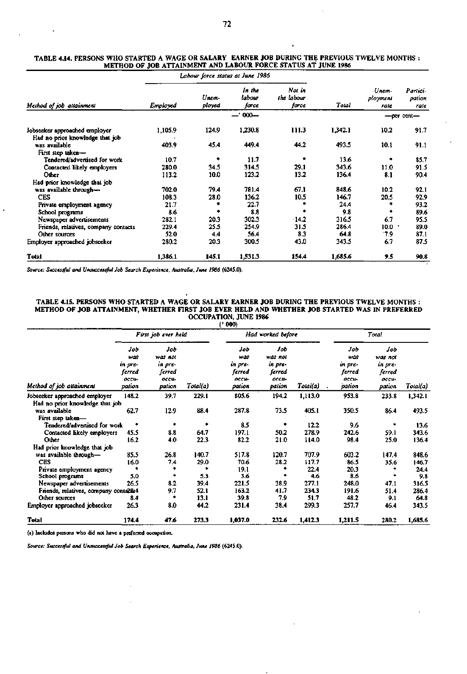#### **TABLE 4.14. PERSONS WHO STARTED A WAGE OR SALARY EARNER JOB DURING THE PREVIOUS TWELVE MONTHS METHOD OF JOB ATTAINMENT AND LABOUR FORCE STATUS AT JUNE 1986**

|                                                                  |          | Labour force status at June 1986 |                           |                               |         |                           |                            |
|------------------------------------------------------------------|----------|----------------------------------|---------------------------|-------------------------------|---------|---------------------------|----------------------------|
| Method of job attainment                                         | Employed | Unem-<br>ployed                  | In the<br>labour<br>force | Not in<br>the labour<br>force | Total   | Unem-<br>ployment<br>rate | Partici-<br>pation<br>rate |
|                                                                  |          |                                  | --' 000--                 |                               |         |                           | -per cent-                 |
| Jobseeker approached employer<br>Had no prior knowledge that job | 1,105.9  | 124.9                            | 1,230.8                   | 111.3                         | 1,342.1 | 10.2                      | 91.7                       |
| was available<br>First step taken-                               | 403.9    | 45.4                             | 449.4                     | 44.2                          | 493.5   | 10.1                      | 91.1                       |
| Tendered/advertised for work                                     | 10.7     | ٠                                | 11.7                      | ٠                             | 13.6    | 庯                         | 85.7                       |
| Contacted likely employers                                       | 280.0    | 34.5                             | 314.5                     | 29.1                          | 343.6   | 11.0                      | 91.5                       |
| Other                                                            | 113.2    | 10.0                             | 123.2                     | 13.2                          | 136.4   | 8.1                       | 90.4                       |
| Had prior knowledge that job                                     |          |                                  |                           |                               |         |                           |                            |
| was available through-                                           | 702.0    | 79.4                             | 781.4                     | 67.1                          | 848.6   | 10.2                      | 92.1                       |
| <b>CES</b>                                                       | 108.3    | 28.0                             | 136.2                     | 10.5                          | 146.7   | 20.5                      | 92.9                       |
| Private employment agency                                        | 21.7     |                                  | 22.7                      |                               | 24.4    |                           | 93.2                       |
| School programs                                                  | 8.6      |                                  | 8.8                       |                               | 9.8     |                           | 89.6                       |
| Newspaper advertisements                                         | 282.1    | 20.3                             | 302.3                     | 14.2                          | 316.5   | 6.7                       | 95.5                       |
| Friends, relatives, company contacts                             | 229.4    | 25.5                             | 254.9                     | 31.5                          | 286.4   | 10.0                      | 89.0                       |
| Other sources                                                    | 52.0     | 4.4                              | 56.4                      | 8.3                           | 64.8    | 17.9                      | 87.1                       |
| Employer approached jobseeker                                    | 280.2    | 20.3                             | 300.5                     | 43.0                          | 343.5   | 6.7                       | 87.5                       |
| Total                                                            | 1,386.1  | 145.1                            | 1.531.3                   | 154.4                         | 1,685.6 | 9.5                       | 90.8                       |

*Source: Successful and Unsuccessful Job Search Experience. Australia, June 1986* **(624S.0).** 

 $\lambda$ 

#### **TABLE 4.15. PERSONS WHO STARTED A WAGE OR SALARY EARNER JOB DURING THE PREVIOUS TWELVE MONTHS : METHOD OF JOB ATTAINMENT, WHETHER FIRST JOB EVER HELD AND WHETHER JOB STARTED WAS IN PREFERRED OCCUPATION, JUNE 1986**

|                                       |                                                    |                                                        |          | (2000)                                             |                                                        |          |                                                    |                                                        |          |
|---------------------------------------|----------------------------------------------------|--------------------------------------------------------|----------|----------------------------------------------------|--------------------------------------------------------|----------|----------------------------------------------------|--------------------------------------------------------|----------|
|                                       |                                                    | First job ever held                                    |          |                                                    | Had worked before                                      |          | Total                                              |                                                        |          |
| Method of job attainment              | Job<br>was<br>in pre-<br>ferred<br>occu-<br>pation | Job<br>was not<br>in pre-<br>ferred<br>OCCU-<br>pation | Total(a) | Job<br>was<br>in pre-<br>ferred<br>осси-<br>pation | Job<br>was not<br>in pre-<br>ferred<br>occu-<br>pation | Total(a) | Job<br>was<br>in pre-<br>ferred<br>occu-<br>pation | Job<br>was not<br>in pre-<br>ferred<br>occu-<br>pation | Total(a) |
| Jobseeker approached employer         | 148.2                                              | 39.7                                                   | 229.1    | 805.6                                              | 194.2                                                  | 1,113.0  | 953.8                                              | 233.8                                                  | 1,342.1  |
| Had no prior knowledge that job       |                                                    |                                                        |          |                                                    |                                                        |          |                                                    |                                                        |          |
| was available                         | 62.7                                               | 12.9                                                   | 88.4     | 287.8                                              | 73.5                                                   | 405.1    | 350.5                                              | 86.4                                                   | 493.5    |
| First step taken-                     |                                                    |                                                        |          |                                                    |                                                        |          |                                                    |                                                        |          |
| Tendered/advertised for work          | $\ddot{\phantom{a}}$                               | ۰                                                      | ٠        | 8.5                                                |                                                        | 12.2     | 9.6                                                | ۰                                                      | 13.6     |
| Contacted likely employers            | 45.5                                               | 8.8                                                    | 64.7     | 197.1                                              | 50.2                                                   | 278.9    | 242.6                                              | 59.1                                                   | 343.6    |
| Other                                 | 16.2                                               | 4.0                                                    | 22.3     | 82.2                                               | 21.0                                                   | 114.0    | 98.4                                               | 25.0                                                   | 136.4    |
| Had prior knowledge that job          |                                                    |                                                        |          |                                                    |                                                        |          |                                                    |                                                        |          |
| was available through-                | 85.5                                               | 26.8                                                   | 140.7    | 517.8                                              | 120.7                                                  | 707.9    | 603.2                                              | 147.4                                                  | 848.6    |
| <b>CES</b>                            | 16.0                                               | 74                                                     | 29.0     | 70.6                                               | 28.2                                                   | 117.7    | 86.5                                               | 35.6                                                   | 146.7    |
| Private employment agency             | ۰                                                  |                                                        | ٠        | 19.1                                               |                                                        | 22.4     | 20.3                                               |                                                        | 24.4     |
| School programs                       | 5.0                                                |                                                        | 5.3      | 3.6                                                |                                                        | 4.6      | 8.6                                                |                                                        | 9.8      |
| Newspaper advertisements              | 26.5                                               | 8.2                                                    | 39.4     | 221.5                                              | 38.9                                                   | 277.1    | 248.0                                              | 47.1                                                   | 316.5    |
| Friends, relatives, company contacts4 |                                                    | 9.7                                                    | 52.1     | 163.2                                              | 41.7                                                   | 234.3    | 191.6                                              | 51.4                                                   | 286.4    |
| Other sources                         | 8.4                                                |                                                        | 13.1     | 39.8                                               | 7.9                                                    | 51.7     | 48.2                                               | 9.1                                                    | 64.8     |
| Employer approached jobseeker         | 26.3                                               | 8.0                                                    | 44.2     | 231.4                                              | 38.4                                                   | 299.3    | 257.7                                              | 46.4                                                   | 343.5    |
| Total                                 | 174.4                                              | 47.6                                                   | 273.3    | 1,037.0                                            | 232.6                                                  | 1,412.3  | 1,211.5                                            | 280.2                                                  | 1,685.6  |

**(a) Includes persons who did not have a preferred occupation.** 

*Source: Successful and Unsuccessful Job Search Experience. Australia, June 1986* **(6245.0).**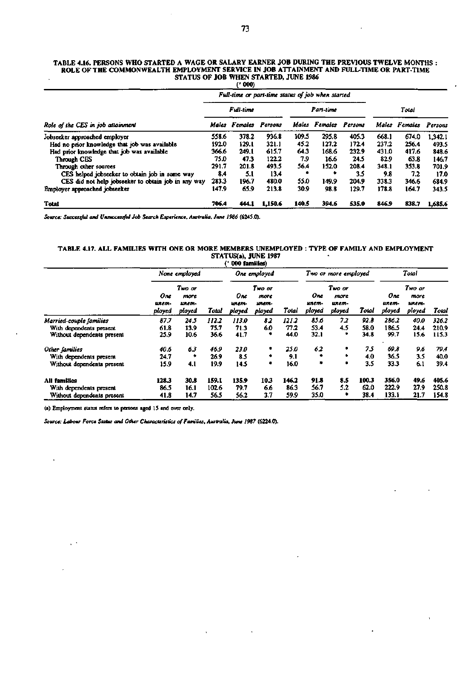#### **TABLE 4.16. PERSONS WHO STARTED A WAGE OR SALARY EARNER JOB DURING THE PREVIOUS TWELVE MONTHS : ROLE OF THE COMMONWEALTH EMPLOYMENT SERVICE IN JOB ATTAINMENT AND FULL-TIME OR PART-TIME STATUS OF JOB WHEN STARTED, JUNE 1986**

|                                                     |       | (2000)                                            |         |       |                              |       |       |               |         |  |
|-----------------------------------------------------|-------|---------------------------------------------------|---------|-------|------------------------------|-------|-------|---------------|---------|--|
|                                                     |       | Full-time or part-time status of job when started |         |       |                              |       |       |               |         |  |
|                                                     |       | <b>Full-time</b>                                  |         |       | Part-time                    |       |       | Total         |         |  |
| Role of the CES in job attainment                   | Males | Females                                           | Persons |       | <b>Males</b> Females Persons |       |       | Males Females | Persons |  |
| Jobseeker approached employer                       | 558.6 | 378.2                                             | 936.8   | 109.5 | 295.8                        | 405.3 | 668.1 | 674.0         | 1.342.1 |  |
| Had no prior knowledge that job was available       | 192.0 | 129.1                                             | 321.1   | 45.2  | 127.2                        | 172.4 | 237.2 | 256.4         | 493.5   |  |
| Had prior knowledge that job was available          | 366.6 | 249.1                                             | 615.7   | 64.3  | 168.6                        | 232.9 | 431.0 | 417.6         | 848.6   |  |
| <b>Through CES</b>                                  | 75.0  | 47.3                                              | 122.2   | 7.9   | 16.6                         | 24.5  | 82.9  | 63.8          | 146.7   |  |
| Through other sources                               | 291.7 | 201.8                                             | 493.5   | 56.4  | 152.0                        | 208.4 | 348.1 | 353.8         | 701.9   |  |
| CES helped jobseeker to obtain job in some way      | 8.4   | 5.1                                               | 13.4    |       | *                            | 3.5   | 9.8   | 7.2           | 17.0    |  |
| CES did not help jobseeker to obtain job in any way | 283.3 | 196.7                                             | 480.0   | 55.0  | 149.9                        | 204.9 | 338.3 | 346.6         | 684.9   |  |
| Employer approached jobseeker                       | 147.9 | 65.9                                              | 213.8   | 30.9  | 98.8                         | 129.7 | 178.8 | 164.7         | 343.5   |  |
| <b>Total</b>                                        | 706.4 | 444.1                                             | 1,150.6 | 140.5 | 394.6                        | 535.0 | 846.9 | 838.7         | 1.685.6 |  |

*Source: Successful and Unsuccessful Job Search Experience, Australia, June 1986* **(6245.0).** 

#### **TABLE 4.17. ALL FAMILIES WITH ONE OR MORE MEMBERS UNEMPLOYED TYPE OF FAMILY AND EMPLOYMENT STATUS(a), JUNE 1987**   $\bullet$ **(• 000 families)**

|                            |                        |                                   |       | vvv isuprival           |                                   |       |                        |                                   |       |                        |                                   |       |
|----------------------------|------------------------|-----------------------------------|-------|-------------------------|-----------------------------------|-------|------------------------|-----------------------------------|-------|------------------------|-----------------------------------|-------|
|                            | None employed          |                                   |       | One employed            |                                   |       | Two or more employed   |                                   |       | Total                  |                                   |       |
|                            | One<br>unem-<br>ployed | Two or<br>more<br>шлет-<br>ployed | Total | One.<br>unem-<br>ployed | Two or<br>more<br>ипет-<br>ployed | Total | Оле<br>unem-<br>ployed | Two or<br>more<br>unem-<br>ployed | Total | One<br>unem-<br>ployed | Two or<br>more<br>unem-<br>ployed | Total |
| Married-couple families    | 87.7                   | 24.5                              | 112.2 | 113.0                   | 82                                | 121.2 | 85.6                   | 72                                | 92.8  | 286.2                  | 40.0                              | 326.2 |
| With dependents present    | 61.8                   | 13.9                              | 75.7  | 71.3                    | 6.0                               | 77.2  | 53.4                   | 4.5                               | 58.0  | 186.5                  | 24.4                              | 210.9 |
| Without dependents present | 25.9                   | 10.6                              | 36.6  | 41.7                    | ۰                                 | 44.0  | 32.1                   | ٠                                 | 34.8  | 99.7                   | 15.6                              | 115.3 |
| Other families             | 40.6                   | 63                                | 46.9  | <i><b>23.0</b></i>      | ٠                                 | 25.0  | 62                     | ٠                                 | 75    | 69.8                   | 9.6                               | 79.4  |
| With dependents presem     | 24.7                   | ۰                                 | 26.9  | 8.5                     | ۰                                 | 9.1   | ٠                      | ٠                                 | 4.0   | 36.5                   | 3.5                               | 40.0  |
| Without dependents present | 15.9                   | 4.1                               | 19.9  | 14.5                    | ۰                                 | 16.0  | ۰                      | ٠                                 | 3.5   | 33.3                   | 6.1                               | 39.4  |
| <b>All families</b>        | 128.3                  | 30.8                              | 159.1 | 135.9                   | 10.3                              | 146.2 | 91.8                   | 8.5                               | 100.3 | 356.0                  | 49.6                              | 405.6 |
| With dependents present    | 86.5                   | 16.1                              | 102.6 | 79.7                    | 6.6                               | 86.3  | 56.7                   | 5.2                               | 62.0  | 222.9                  | 27.9                              | 250.8 |
| Without dependents present | 41.8                   | 14.7                              | 56.5  | 56.2                    | 3.7                               | 59.9  | 35.0                   | ٠                                 | 38.4  | 133.1                  | 21.7                              | 154.8 |

**(a) Employment status refers to persons aged IS and over only.** 

l,

 $\epsilon^{-1}$ 

*Source: Labour Force Status and Other Characteristics of Families, Australia, June 1987* **(6224.0).**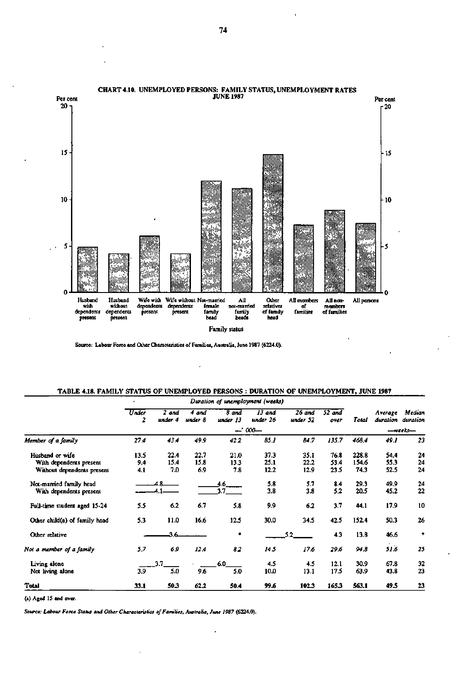

Source: Labour Force and Other Characteristics of Families, Australia, June 1987 (6224.0).

l,

## **TABLE 4.18. FAMILY STATUS OF UNEMPLOYED PERSONS : DURATION OF UNEMPLOYMENT, JUNE 1987**

|                               | Under<br>2 | 2 and<br>under 4 | 4 and<br>under 8 | 8 and<br>under 13 | 13 and<br>under 26 | 26 and<br>under 52 | $52$ and<br>over | Total | Average<br>duration | Median<br>duration |
|-------------------------------|------------|------------------|------------------|-------------------|--------------------|--------------------|------------------|-------|---------------------|--------------------|
|                               |            |                  |                  |                   | $-7000$            |                    |                  |       |                     | -weeks-            |
| Member of a family            | 27.4       | 43.4             | 49.9             | 42.2              | 85.1               | 84.7               | 135.7            | 468.4 | 49.1                | 23                 |
| Husband or wife               | 13.5       | 22.4             | 22.7             | 21.0              | 37.3               | 35.1               | 76.8             | 228.8 | 54.4                | 24                 |
| With dependents present       | 9.4        | 15.4             | 15.8             | 13.3              | 25.1               | 22.2               | 53.4             | 154.6 | 55.3                | 24                 |
| Without dependents present    | 4.1        | 7.0              | 6.9              | 7.8               | 12.2               | 12.9               | 23.5             | 74.3  | 52.5                | 24                 |
| Not-married family head       |            |                  |                  | 4.6               | 5.8                | 5.7                | 8.4              | 29.3  | 49.9                | 24                 |
| With dependents present       |            |                  |                  | 3.7               | 3.8                | 3.8                | 5.2              | 20.5  | 45.2                | 22                 |
| Full-time student aged 15-24  | 5.5        | 6.2              | 6.7              | 5.8               | 9.9                | 6.2                | 3.7              | 44.1  | 17.9                | 10                 |
| Other child(a) of family head | 5.3        | 11.0             | 16.6             | 12.5              | 30.0               | 34.5               | 42.5             | 152.4 | 50.3                | 26                 |
| Other relative                |            | 3.6              |                  | ۰                 |                    | 5.2                | 4.3              | 13.8  | 46.6                | *                  |
| Not a member of a family      | 5.7        | 6.9              | 12.4             | 82                | 145                | 17.6               | 29.6             | 94.8  | 51.6                | 25                 |
| Living alone                  |            | 17               |                  | 6.0               | 4.5                | 4.5                | 12.1             | 30.9  | 67.8                | 32                 |
| Not living alone              | 3.9        | 5.0              | 9.6              | 5.0               | 10.0               | 13.1               | 17.5             | 63.9  | 43.8                | 23                 |
| Total                         | 33.1       | 50.3             | 62.2             | 50.4              | 99.6               | 102.3              | 165.3            | 563.1 | 49.5                | 23                 |

(a) Aged 15 and over.

*Source: Labour Force Status and Other Characteristics of Families, Australia, June 1987* **(6224.0).**